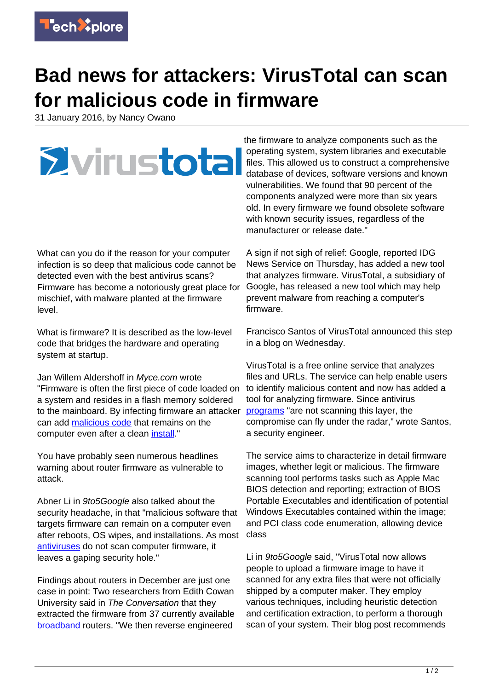

## **Bad news for attackers: VirusTotal can scan for malicious code in firmware**

31 January 2016, by Nancy Owano



What can you do if the reason for your computer infection is so deep that malicious code cannot be detected even with the best antivirus scans? Firmware has become a notoriously great place for mischief, with malware planted at the firmware level.

What is firmware? It is described as the low-level code that bridges the hardware and operating system at startup.

Jan Willem Aldershoff in Myce.com wrote "Firmware is often the first piece of code loaded on a system and resides in a flash memory soldered to the mainboard. By infecting firmware an attacker can add [malicious code](https://techxplore.com/tags/malicious+code/) that remains on the computer even after a clean [install.](http://www.myce.com/news/googles-virustotal-now-also-scans-for-malicious-code-in-firmware-and-bios-files-78486/)"

You have probably seen numerous headlines warning about router firmware as vulnerable to attack.

Abner Li in 9to5Google also talked about the security headache, in that "malicious software that targets firmware can remain on a computer even after reboots, OS wipes, and installations. As most [antiviruses](http://9to5google.com/2016/01/28/virustotal-scan-firmware/) do not scan computer firmware, it leaves a gaping security hole."

Findings about routers in December are just one case in point: Two researchers from Edith Cowan University said in The Conversation that they extracted the firmware from 37 currently available [broadband](http://theconversation.com/your-broadband-router-is-not-as-secure-as-you-think-it-is-51747) routers. "We then reverse engineered

the firmware to analyze components such as the operating system, system libraries and executable files. This allowed us to construct a comprehensive database of devices, software versions and known vulnerabilities. We found that 90 percent of the components analyzed were more than six years old. In every firmware we found obsolete software with known security issues, regardless of the manufacturer or release date."

A sign if not sigh of relief: Google, reported IDG News Service on Thursday, has added a new tool that analyzes firmware. VirusTotal, a subsidiary of Google, has released a new tool which may help prevent malware from reaching a computer's firmware.

Francisco Santos of VirusTotal announced this step in a blog on Wednesday.

VirusTotal is a free online service that analyzes files and URLs. The service can help enable users to identify malicious content and now has added a tool for analyzing firmware. Since antivirus [programs](http://blog.virustotal.com/) "are not scanning this layer, the compromise can fly under the radar," wrote Santos, a security engineer.

The service aims to characterize in detail firmware images, whether legit or malicious. The firmware scanning tool performs tasks such as Apple Mac BIOS detection and reporting; extraction of BIOS Portable Executables and identification of potential Windows Executables contained within the image; and PCI class code enumeration, allowing device class

Li in 9to5Google said, "VirusTotal now allows people to upload a firmware image to have it scanned for any extra files that were not officially shipped by a computer maker. They employ various techniques, including heuristic detection and certification extraction, to perform a thorough scan of your system. Their blog post recommends